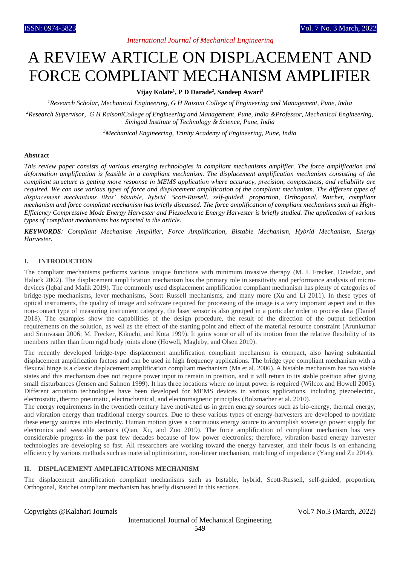# *International Journal of Mechanical Engineering*

# A REVIEW ARTICLE ON DISPLACEMENT AND FORCE COMPLIANT MECHANISM AMPLIFIER

## **Vijay Kolate<sup>1</sup> , P D Darade<sup>2</sup> , Sandeep Awari<sup>3</sup>**

*<sup>1</sup>Research Scholar, Mechanical Engineering, G H Raisoni College of Engineering and Management, Pune, India*

*<sup>2</sup>Research Supervisor, G H RaisoniCollege of Engineering and Management, Pune, India &Professor, Mechanical Engineering, Sinhgad Institute of Technology & Science, Pune, India*

*<sup>3</sup>Mechanical Engineering, Trinity Academy of Engineering, Pune, India*

#### **Abstract**

*This review paper consists of various emerging technologies in compliant mechanisms amplifier. The force amplification and deformation amplification is feasible in a compliant mechanism. The displacement amplification mechanism consisting of the compliant structure is getting more response in MEMS application where accuracy, precision, compactness, and reliability are required. We can use various types of force and displacement amplification of the compliant mechanism. The different types of displacement mechanisms likes' bistable, hybrid, Scott-Russell, self-guided, proportion, Orthogonal, Ratchet, compliant mechanism and force compliant mechanism has briefly discussed. The force amplification of compliant mechanisms such as High-Efficiency Compressive Mode Energy Harvester and Piezoelectric Energy Harvester is briefly studied. The application of various types of compliant mechanisms has reported in the article.*

*KEYWORDS: Compliant Mechanism Amplifier, Force Amplification, Bistable Mechanism, Hybrid Mechanism, Energy Harvester.*

## **I. INTRODUCTION**

The compliant mechanisms performs various unique functions with minimum invasive therapy (M. I. Frecker, Dziedzic, and Haluck 2002). The displacement amplification mechanism has the primary role in sensitivity and performance analysis of microdevices (Iqbal and Malik 2019). The commonly used displacement amplification compliant mechanism has plenty of categories of bridge-type mechanisms, lever mechanisms, Scott–Russell mechanisms, and many more (Xu and Li 2011). In these types of optical instruments, the quality of image and software required for processing of the image is a very important aspect and in this non-contact type of measuring instrument category, the laser sensor is also grouped in a particular order to process data (Daniel 2018). The examples show the capabilities of the design procedure, the result of the direction of the output deflection requirements on the solution, as well as the effect of the starting point and effect of the material resource constraint (Arunkumar and Srinivasan 2006; M. Frecker, Kikuchi, and Kota 1999). It gains some or all of its motion from the relative flexibility of its members rather than from rigid body joints alone (Howell, Magleby, and Olsen 2019).

The recently developed bridge-type displacement amplification compliant mechanism is compact, also having substantial displacement amplification factors and can be used in high frequency applications. The bridge type compliant mechanism with a flexural hinge is a classic displacement amplification compliant mechanism (Ma et al. 2006). A bistable mechanism has two stable states and this mechanism does not require power input to remain in position, and it will return to its stable position after giving small disturbances (Jensen and Salmon 1999). It has three locations where no input power is required (Wilcox and Howell 2005). Different actuation technologies have been developed for MEMS devices in various applications, including piezoelectric, electrostatic, thermo pneumatic, electrochemical, and electromagnetic principles (Bolzmacher et al. 2010).

The energy requirements in the twentieth century have motivated us in green energy sources such as bio-energy, thermal energy, and vibration energy than traditional energy sources. Due to these various types of energy-harvesters are developed to novitiate these energy sources into electricity. Human motion gives a continuous energy source to accomplish sovereign power supply for electronics and wearable sensors (Qian, Xu, and Zuo 2019). The force amplification of compliant mechanism has very considerable progress in the past few decades because of low power electronics; therefore, vibration-based energy harvester technologies are developing so fast. All researchers are working toward the energy harvester, and their focus is on enhancing efficiency by various methods such as material optimization, non-linear mechanism, matching of impedance (Yang and Zu 2014).

#### **II. DISPLACEMENT AMPLIFICATIONS MECHANISM**

The displacement amplification compliant mechanisms such as bistable, hybrid, Scott-Russell, self-guided, proportion, Orthogonal, Ratchet compliant mechanism has briefly discussed in this sections.

## Copyrights @Kalahari Journals Vol.7 No.3 (March, 2022)

International Journal of Mechanical Engineering 549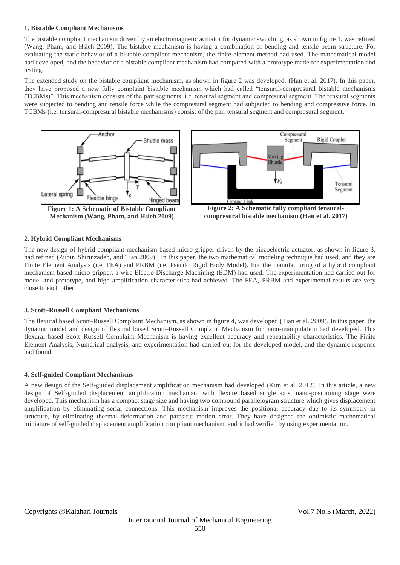#### **1. Bistable Compliant Mechanisms**

The bistable compliant mechanism driven by an electromagnetic actuator for dynamic switching, as shown in figure 1, was refined (Wang, Pham, and Hsieh 2009). The bistable mechanism is having a combination of bending and tensile beam structure. For evaluating the static behavior of a bistable compliant mechanism, the finite element method had used. The mathematical model had developed, and the behavior of a bistable compliant mechanism had compared with a prototype made for experimentation and testing.

The extended study on the bistable compliant mechanism, as shown in figure 2 was developed. (Han et al. 2017). In this paper, they have proposed a new fully complaint bistable mechanism which had called "tensural-compresural bistable mechanisms (TCBMs)". This mechanism consists of the pair segments, i.e. tensural segment and compresural segment. The tensural segments were subjected to bending and tensile force while the compresural segment had subjected to bending and compressive force. In TCBMs (i.e. tensural-compresural bistable mechanisms) consist of the pair tensural segment and compresural segment.



**Mechanism (Wang, Pham, and Hsieh 2009)**



**Figure 2: A Schematic fully compliant tensuralcompresural bistable mechanism (Han et al. 2017)**

## **2. Hybrid Compliant Mechanisms**

The new design of hybrid compliant mechanism-based micro-gripper driven by the piezoelectric actuator, as shown in figure 3, had refined (Zubir, Shirinzadeh, and Tian 2009). In this paper, the two mathematical modeling technique had used, and they are Finite Element Analysis (i.e. FEA) and PRBM (i.e. Pseudo Rigid Body Model). For the manufacturing of a hybrid compliant mechanism-based micro-gripper, a wire Electro Discharge Machining (EDM) had used. The experimentation had carried out for model and prototype, and high amplification characteristics had achieved. The FEA, PRBM and experimental results are very close to each other.

## **3. Scott–Russell Compliant Mechanisms**

The flexural based Scott–Russell Complaint Mechanism, as shown in figure 4, was developed (Tian et al. 2009). In this paper, the dynamic model and design of flexural based Scott–Russell Complaint Mechanism for nano-manipulation had developed. This flexural based Scott–Russell Complaint Mechanism is having excellent accuracy and repeatability characteristics. The Finite Element Analysis, Numerical analysis, and experimentation had carried out for the developed model, and the dynamic response had found.

## **4. Self-guided Compliant Mechanisms**

A new design of the Self-guided displacement amplification mechanism had developed (Kim et al. 2012). In this article, a new design of Self-guided displacement amplification mechanism with flexure based single axis, nano-positioning stage were developed. This mechanism has a compact stage size and having two compound parallelogram structure which gives displacement amplification by eliminating serial connections. This mechanism improves the positional accuracy due to its symmetry in structure, by eliminating thermal deformation and parasitic motion error. They have designed the optimistic mathematical miniature of self-guided displacement amplification compliant mechanism, and it had verified by using experimentation.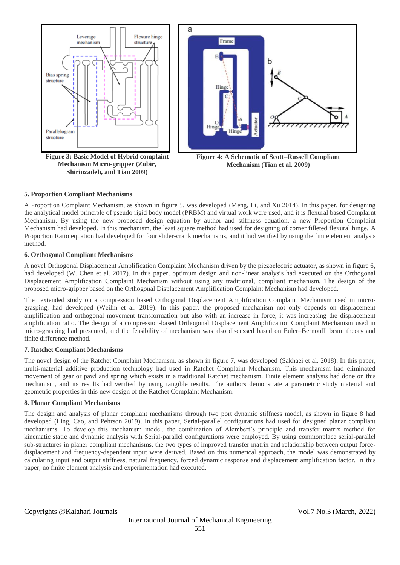

**Figure 3: Basic Model of Hybrid complaint Mechanism Micro-gripper (Zubir, Shirinzadeh, and Tian 2009)**



**Figure 4: A Schematic of Scott–Russell Compliant Mechanism (Tian et al. 2009)**

## **5. Proportion Compliant Mechanisms**

A Proportion Complaint Mechanism, as shown in figure 5, was developed (Meng, Li, and Xu 2014). In this paper, for designing the analytical model principle of pseudo rigid body model (PRBM) and virtual work were used, and it is flexural based Complaint Mechanism. By using the new proposed design equation by author and stiffness equation, a new Proportion Complaint Mechanism had developed. In this mechanism, the least square method had used for designing of corner filleted flexural hinge. A Proportion Ratio equation had developed for four slider-crank mechanisms, and it had verified by using the finite element analysis method.

## **6. Orthogonal Compliant Mechanisms**

A novel Orthogonal Displacement Amplification Complaint Mechanism driven by the piezoelectric actuator, as shown in figure 6, had developed (W. Chen et al. 2017). In this paper, optimum design and non-linear analysis had executed on the Orthogonal Displacement Amplification Complaint Mechanism without using any traditional, compliant mechanism. The design of the proposed micro-gripper based on the Orthogonal Displacement Amplification Complaint Mechanism had developed.

The extended study on a compression based Orthogonal Displacement Amplification Complaint Mechanism used in micrograsping, had developed (Weilin et al. 2019). In this paper, the proposed mechanism not only depends on displacement amplification and orthogonal movement transformation but also with an increase in force, it was increasing the displacement amplification ratio. The design of a compression-based Orthogonal Displacement Amplification Complaint Mechanism used in micro-grasping had presented, and the feasibility of mechanism was also discussed based on Euler–Bernoulli beam theory and finite difference method.

## **7. Ratchet Compliant Mechanisms**

The novel design of the Ratchet Complaint Mechanism, as shown in figure 7, was developed (Sakhaei et al. 2018). In this paper, multi-material additive production technology had used in Ratchet Complaint Mechanism. This mechanism had eliminated movement of gear or pawl and spring which exists in a traditional Ratchet mechanism. Finite element analysis had done on this mechanism, and its results had verified by using tangible results. The authors demonstrate a parametric study material and geometric properties in this new design of the Ratchet Complaint Mechanism.

## **8. Planar Compliant Mechanisms**

The design and analysis of planar compliant mechanisms through two port dynamic stiffness model, as shown in figure 8 had developed (Ling, Cao, and Pehrson 2019). In this paper, Serial-parallel configurations had used for designed planar compliant mechanisms. To develop this mechanism model, the combination of Alembert's principle and transfer matrix method for kinematic static and dynamic analysis with Serial-parallel configurations were employed. By using commonplace serial-parallel sub-structures in planer compliant mechanisms, the two types of improved transfer matrix and relationship between output forcedisplacement and frequency-dependent input were derived. Based on this numerical approach, the model was demonstrated by calculating input and output stiffness, natural frequency, forced dynamic response and displacement amplification factor. In this paper, no finite element analysis and experimentation had executed.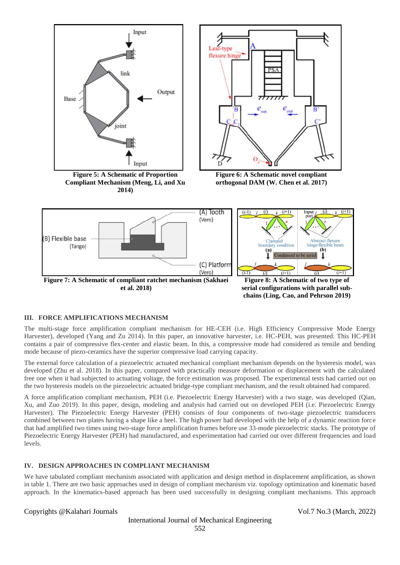

## **III. FORCE AMPLIFICATIONS MECHANISM**

The multi-stage force amplification compliant mechanism for HE-CEH (i.e. High Efficiency Compressive Mode Energy Harvester), developed (Yang and Zu 2014). In this paper, an innovative harvester, i.e. HC-PEH, was presented. This HC-PEH contains a pair of compressive flex-center and elastic beam. In this, a compressive mode had considered as tensile and bending mode because of piezo-ceramics have the superior compressive load carrying capacity.

The external force calculation of a piezoelectric actuated mechanical compliant mechanism depends on the hysteresis model, was developed (Zhu et al. 2018). In this paper, compared with practically measure deformation or displacement with the calculated free one when it had subjected to actuating voltage, the force estimation was proposed. The experimental tests had carried out on the two hysteresis models on the piezoelectric actuated bridge-type compliant mechanism, and the result obtained had compared.

A force amplification compliant mechanism, PEH (i.e. Piezoelectric Energy Harvester) with a two stage, was developed (Qian, Xu, and Zuo 2019). In this paper, design, modeling and analysis had carried out on developed PEH (i.e. Piezoelectric Energy Harvester). The Piezoelectric Energy Harvester (PEH) consists of four components of two-stage piezoelectric transducers combined between two plates having a shape like a heel. The high power had developed with the help of a dynamic reaction force that had amplified two times using two-stage force amplification frames before use 33-mode piezoelectric stacks. The prototype of Piezoelectric Energy Harvester (PEH) had manufactured, and experimentation had carried out over different frequencies and load levels.

## **IV. DESIGN APPROACHES IN COMPLIANT MECHANISM**

We have tabulated compliant mechanism associated with application and design method in displacement amplification, as shown in table 1. There are two basic approaches used in design of compliant mechanism viz. topology optimization and kinematic based approach. In the kinematics-based approach has been used successfully in designing compliant mechanisms. This approach

#### Copyrights @Kalahari Journals Vol.7 No.3 (March, 2022)

International Journal of Mechanical Engineering 552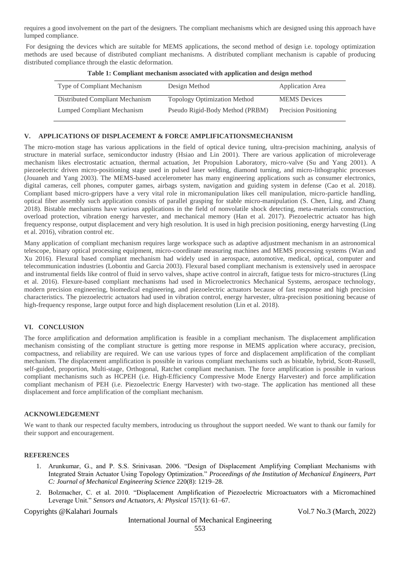requires a good involvement on the part of the designers. The compliant mechanisms which are designed using this approach have lumped compliance.

For designing the devices which are suitable for MEMS applications, the second method of design i.e. topology optimization methods are used because of distributed compliant mechanisms. A distributed compliant mechanism is capable of producing distributed compliance through the elastic deformation.

| Type of Compliant Mechanism     | Design Method                       | Application Area      |
|---------------------------------|-------------------------------------|-----------------------|
| Distributed Compliant Mechanism | <b>Topology Optimization Method</b> | <b>MEMS</b> Devices   |
| Lumped Compliant Mechanism      | Pseudo Rigid-Body Method (PRBM)     | Precision Positioning |

**Table 1: Compliant mechanism associated with application and design method**

## **V. APPLICATIONS OF DISPLACEMENT & FORCE AMPLIFICATIONSMECHANISM**

The micro-motion stage has various applications in the field of optical device tuning, ultra-precision machining, analysis of structure in material surface, semiconductor industry (Hsiao and Lin 2001). There are various application of microleverage mechanism likes electrostatic actuation, thermal actuation, Jet Propulsion Laboratory, micro-valve (Su and Yang 2001). A piezoelectric driven micro-positioning stage used in pulsed laser welding, diamond turning, and micro-lithographic processes (Jouaneh and Yang 2003). The MEMS-based accelerometer has many engineering applications such as consumer electronics, digital cameras, cell phones, computer games, airbags system, navigation and guiding system in defense (Cao et al. 2018). Compliant based micro-grippers have a very vital role in micromanipulation likes cell manipulation, micro-particle handling, optical fiber assembly such application consists of parallel grasping for stable micro-manipulation (S. Chen, Ling, and Zhang 2018). Bistable mechanisms have various applications in the field of nonvolatile shock detecting, meta-materials construction, overload protection, vibration energy harvester, and mechanical memory (Han et al. 2017). Piezoelectric actuator has high frequency response, output displacement and very high resolution. It is used in high precision positioning, energy harvesting (Ling et al. 2016), vibration control etc.

Many application of compliant mechanism requires large workspace such as adaptive adjustment mechanism in an astronomical telescope, binary optical processing equipment, micro-coordinate measuring machines and MEMS processing systems (Wan and Xu 2016). Flexural based compliant mechanism had widely used in aerospace, automotive, medical, optical, computer and telecommunication industries (Lobontiu and Garcia 2003). Flexural based compliant mechanism is extensively used in aerospace and instrumental fields like control of fluid in servo valves, shape active control in aircraft, fatigue tests for micro-structures (Ling et al. 2016). Flexure-based compliant mechanisms had used in Microelectronics Mechanical Systems, aerospace technology, modern precision engineering, biomedical engineering, and piezoelectric actuators because of fast response and high precision characteristics. The piezoelectric actuators had used in vibration control, energy harvester, ultra-precision positioning because of high-frequency response, large output force and high displacement resolution (Lin et al. 2018).

## **VI. CONCLUSION**

The force amplification and deformation amplification is feasible in a compliant mechanism. The displacement amplification mechanism consisting of the compliant structure is getting more response in MEMS application where accuracy, precision, compactness, and reliability are required. We can use various types of force and displacement amplification of the compliant mechanism. The displacement amplification is possible in various compliant mechanisms such as bistable, hybrid, Scott-Russell, self-guided, proportion, Multi-stage, Orthogonal, Ratchet compliant mechanism. The force amplification is possible in various compliant mechanisms such as HCPEH (i.e. High-Efficiency Compressive Mode Energy Harvester) and force amplification compliant mechanism of PEH (i.e. Piezoelectric Energy Harvester) with two-stage. The application has mentioned all these displacement and force amplification of the compliant mechanism.

## **ACKNOWLEDGEMENT**

We want to thank our respected faculty members, introducing us throughout the support needed. We want to thank our family for their support and encouragement.

## **REFERENCES**

- 1. Arunkumar, G., and P. S.S. Srinivasan. 2006. "Design of Displacement Amplifying Compliant Mechanisms with Integrated Strain Actuator Using Topology Optimization." *Proceedings of the Institution of Mechanical Engineers, Part C: Journal of Mechanical Engineering Science* 220(8): 1219–28.
- 2. Bolzmacher, C. et al. 2010. "Displacement Amplification of Piezoelectric Microactuators with a Micromachined Leverage Unit." *Sensors and Actuators, A: Physical* 157(1): 61–67.

Copyrights @Kalahari Journals Vol.7 No.3 (March, 2022)

International Journal of Mechanical Engineering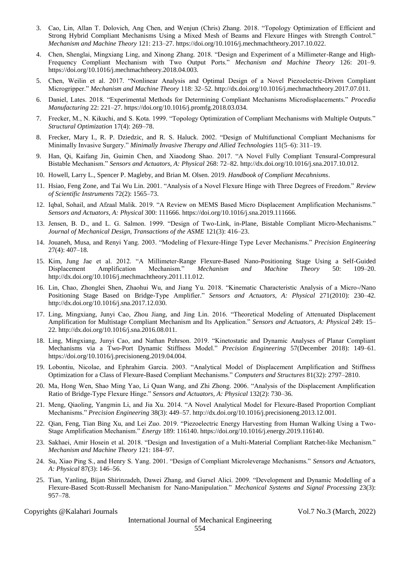- 3. Cao, Lin, Allan T. Dolovich, Ang Chen, and Wenjun (Chris) Zhang. 2018. "Topology Optimization of Efficient and Strong Hybrid Compliant Mechanisms Using a Mixed Mesh of Beams and Flexure Hinges with Strength Control." *Mechanism and Machine Theory* 121: 213–27. https://doi.org/10.1016/j.mechmachtheory.2017.10.022.
- 4. Chen, Shenglai, Mingxiang Ling, and Xinong Zhang. 2018. "Design and Experiment of a Millimeter-Range and High-Frequency Compliant Mechanism with Two Output Ports." *Mechanism and Machine Theory* 126: 201–9. https://doi.org/10.1016/j.mechmachtheory.2018.04.003.
- 5. Chen, Weilin et al. 2017. "Nonlinear Analysis and Optimal Design of a Novel Piezoelectric-Driven Compliant Microgripper." *Mechanism and Machine Theory* 118: 32–52. http://dx.doi.org/10.1016/j.mechmachtheory.2017.07.011.
- 6. Daniel, Lates. 2018. "Experimental Methods for Determining Compliant Mechanisms Microdisplacements." *Procedia Manufacturing* 22: 221–27. https://doi.org/10.1016/j.promfg.2018.03.034.
- 7. Frecker, M., N. Kikuchi, and S. Kota. 1999. "Topology Optimization of Compliant Mechanisms with Multiple Outputs." *Structural Optimization* 17(4): 269–78.
- 8. Frecker, Mary I., R. P. Dziedzic, and R. S. Haluck. 2002. "Design of Multifunctional Compliant Mechanisms for Minimally Invasive Surgery." *Minimally Invasive Therapy and Allied Technologies* 11(5–6): 311–19.
- 9. Han, Qi, Kaifang Jin, Guimin Chen, and Xiaodong Shao. 2017. "A Novel Fully Compliant Tensural-Compresural Bistable Mechanism." *Sensors and Actuators, A: Physical* 268: 72–82. http://dx.doi.org/10.1016/j.sna.2017.10.012.
- 10. Howell, Larry L., Spencer P. Magleby, and Brian M. Olsen. 2019. *Handbook of Compliant Mecahnisms*.
- 11. Hsiao, Feng Zone, and Tai Wu Lin. 2001. "Analysis of a Novel Flexure Hinge with Three Degrees of Freedom." *Review of Scientific Instruments* 72(2): 1565–73.
- 12. Iqbal, Sohail, and Afzaal Malik. 2019. "A Review on MEMS Based Micro Displacement Amplification Mechanisms." *Sensors and Actuators, A: Physical* 300: 111666. https://doi.org/10.1016/j.sna.2019.111666.
- 13. Jensen, B. D., and L. G. Salmon. 1999. "Design of Two-Link, in-Plane, Bistable Compliant Micro-Mechanisms." *Journal of Mechanical Design, Transactions of the ASME* 121(3): 416–23.
- 14. Jouaneh, Musa, and Renyi Yang. 2003. "Modeling of Flexure-Hinge Type Lever Mechanisms." *Precision Engineering* 27(4): 407–18.
- 15. Kim, Jung Jae et al. 2012. "A Millimeter-Range Flexure-Based Nano-Positioning Stage Using a Self-Guided Displacement Amplification Mechanism." *Mechanism and Machine Theory* 50: 109–20. http://dx.doi.org/10.1016/j.mechmachtheory.2011.11.012.
- 16. Lin, Chao, Zhonglei Shen, Zhaohui Wu, and Jiang Yu. 2018. "Kinematic Characteristic Analysis of a Micro-/Nano Positioning Stage Based on Bridge-Type Amplifier." *Sensors and Actuators, A: Physical* 271(2010): 230–42. http://dx.doi.org/10.1016/j.sna.2017.12.030.
- 17. Ling, Mingxiang, Junyi Cao, Zhou Jiang, and Jing Lin. 2016. "Theoretical Modeling of Attenuated Displacement Amplification for Multistage Compliant Mechanism and Its Application." *Sensors and Actuators, A: Physical* 249: 15– 22. http://dx.doi.org/10.1016/j.sna.2016.08.011.
- 18. Ling, Mingxiang, Junyi Cao, and Nathan Pehrson. 2019. "Kinetostatic and Dynamic Analyses of Planar Compliant Mechanisms via a Two-Port Dynamic Stiffness Model." *Precision Engineering* 57(December 2018): 149–61. https://doi.org/10.1016/j.precisioneng.2019.04.004.
- 19. Lobontiu, Nicolae, and Ephrahim Garcia. 2003. "Analytical Model of Displacement Amplification and Stiffness Optimization for a Class of Flexure-Based Compliant Mechanisms." *Computers and Structures* 81(32): 2797–2810.
- 20. Ma, Hong Wen, Shao Ming Yao, Li Quan Wang, and Zhi Zhong. 2006. "Analysis of the Displacement Amplification Ratio of Bridge-Type Flexure Hinge." *Sensors and Actuators, A: Physical* 132(2): 730–36.
- 21. Meng, Qiaoling, Yangmin Li, and Jia Xu. 2014. "A Novel Analytical Model for Flexure-Based Proportion Compliant Mechanisms." *Precision Engineering* 38(3): 449–57. http://dx.doi.org/10.1016/j.precisioneng.2013.12.001.
- 22. Qian, Feng, Tian Bing Xu, and Lei Zuo. 2019. "Piezoelectric Energy Harvesting from Human Walking Using a Two-Stage Amplification Mechanism." *Energy* 189: 116140. https://doi.org/10.1016/j.energy.2019.116140.
- 23. Sakhaei, Amir Hosein et al. 2018. "Design and Investigation of a Multi-Material Compliant Ratchet-like Mechanism." *Mechanism and Machine Theory* 121: 184–97.
- 24. Su, Xiao Ping S., and Henry S. Yang. 2001. "Design of Compliant Microleverage Mechanisms." *Sensors and Actuators, A: Physical* 87(3): 146–56.
- 25. Tian, Yanling, Bijan Shirinzadeh, Dawei Zhang, and Gursel Alici. 2009. "Development and Dynamic Modelling of a Flexure-Based Scott-Russell Mechanism for Nano-Manipulation." *Mechanical Systems and Signal Processing* 23(3): 957–78.

Copyrights @Kalahari Journals Vol.7 No.3 (March, 2022)